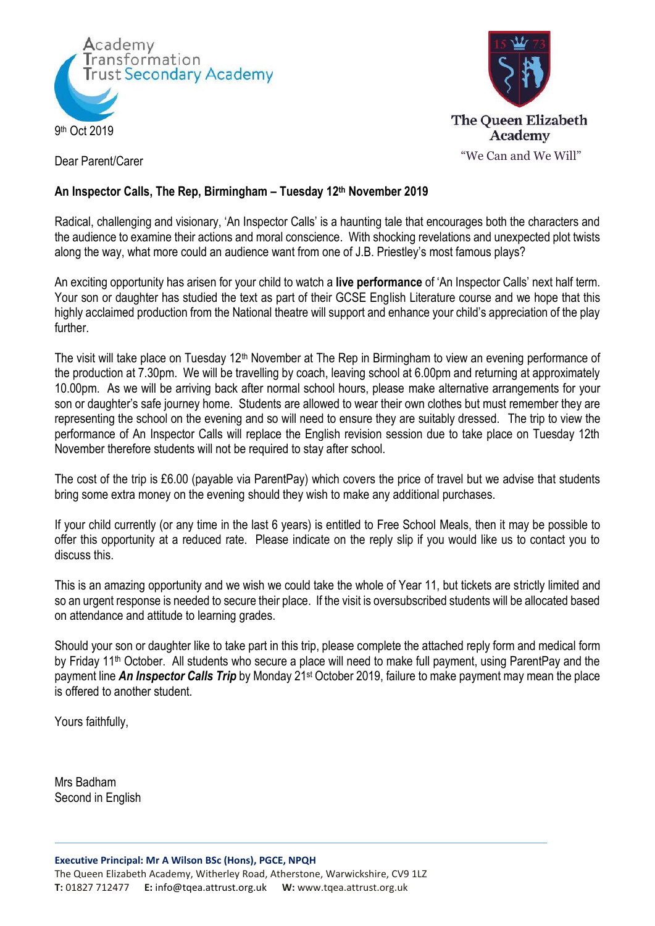



Dear Parent/Carer

## **An Inspector Calls, The Rep, Birmingham – Tuesday 12th November 2019**

Radical, challenging and visionary, 'An Inspector Calls' is a haunting tale that encourages both the characters and the audience to examine their actions and moral conscience. With shocking revelations and unexpected plot twists along the way, what more could an audience want from one of J.B. Priestley's most famous plays?

An exciting opportunity has arisen for your child to watch a **live performance** of 'An Inspector Calls' next half term. Your son or daughter has studied the text as part of their GCSE English Literature course and we hope that this highly acclaimed production from the National theatre will support and enhance your child's appreciation of the play further.

The visit will take place on Tuesday 12<sup>th</sup> November at The Rep in Birmingham to view an evening performance of the production at 7.30pm. We will be travelling by coach, leaving school at 6.00pm and returning at approximately 10.00pm. As we will be arriving back after normal school hours, please make alternative arrangements for your son or daughter's safe journey home. Students are allowed to wear their own clothes but must remember they are representing the school on the evening and so will need to ensure they are suitably dressed. The trip to view the performance of An Inspector Calls will replace the English revision session due to take place on Tuesday 12th November therefore students will not be required to stay after school.

The cost of the trip is £6.00 (payable via ParentPay) which covers the price of travel but we advise that students bring some extra money on the evening should they wish to make any additional purchases.

If your child currently (or any time in the last 6 years) is entitled to Free School Meals, then it may be possible to offer this opportunity at a reduced rate. Please indicate on the reply slip if you would like us to contact you to discuss this.

This is an amazing opportunity and we wish we could take the whole of Year 11, but tickets are strictly limited and so an urgent response is needed to secure their place. If the visit is oversubscribed students will be allocated based on attendance and attitude to learning grades.

Should your son or daughter like to take part in this trip, please complete the attached reply form and medical form by Friday 11<sup>th</sup> October. All students who secure a place will need to make full payment, using ParentPay and the payment line *An Inspector Calls Trip* by Monday 21st October 2019, failure to make payment may mean the place is offered to another student.

Yours faithfully,

Mrs Badham Second in English